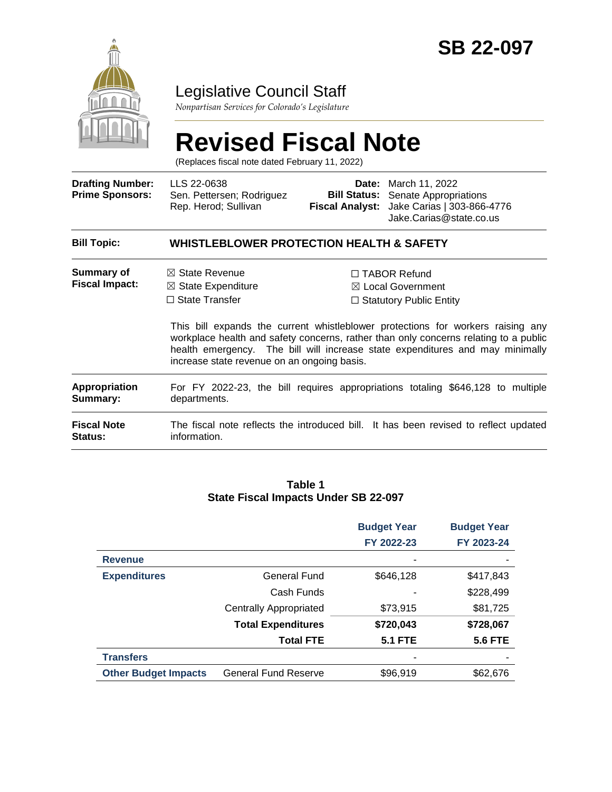

# Legislative Council Staff

*Nonpartisan Services for Colorado's Legislature*

# **Revised Fiscal Note**

(Replaces fiscal note dated February 11, 2022)

| <b>Drafting Number:</b><br><b>Prime Sponsors:</b> | LLS 22-0638<br>Sen. Pettersen; Rodriguez<br>Rep. Herod; Sullivan                                                                   | <b>Bill Status:</b> | <b>Date:</b> March 11, 2022<br>Senate Appropriations<br>Fiscal Analyst: Jake Carias   303-866-4776<br>Jake.Carias@state.co.us                                                                                                                                                                                                           |  |  |
|---------------------------------------------------|------------------------------------------------------------------------------------------------------------------------------------|---------------------|-----------------------------------------------------------------------------------------------------------------------------------------------------------------------------------------------------------------------------------------------------------------------------------------------------------------------------------------|--|--|
| <b>Bill Topic:</b>                                | <b>WHISTLEBLOWER PROTECTION HEALTH &amp; SAFETY</b>                                                                                |                     |                                                                                                                                                                                                                                                                                                                                         |  |  |
| Summary of<br><b>Fiscal Impact:</b>               | $\boxtimes$ State Revenue<br>$\boxtimes$ State Expenditure<br>$\Box$ State Transfer<br>increase state revenue on an ongoing basis. |                     | $\Box$ TABOR Refund<br>⊠ Local Government<br>$\Box$ Statutory Public Entity<br>This bill expands the current whistleblower protections for workers raising any<br>workplace health and safety concerns, rather than only concerns relating to a public<br>health emergency. The bill will increase state expenditures and may minimally |  |  |
| <b>Appropriation</b><br>Summary:                  | departments.                                                                                                                       |                     | For FY 2022-23, the bill requires appropriations totaling \$646,128 to multiple                                                                                                                                                                                                                                                         |  |  |
| <b>Fiscal Note</b><br><b>Status:</b>              | information.                                                                                                                       |                     | The fiscal note reflects the introduced bill. It has been revised to reflect updated                                                                                                                                                                                                                                                    |  |  |

#### **Table 1 State Fiscal Impacts Under SB 22-097**

|                             |                               | <b>Budget Year</b> | <b>Budget Year</b> |
|-----------------------------|-------------------------------|--------------------|--------------------|
|                             |                               | FY 2022-23         | FY 2023-24         |
| <b>Revenue</b>              |                               |                    |                    |
| <b>Expenditures</b>         | <b>General Fund</b>           | \$646,128          | \$417,843          |
|                             | Cash Funds                    |                    | \$228,499          |
|                             | <b>Centrally Appropriated</b> | \$73,915           | \$81,725           |
|                             | <b>Total Expenditures</b>     | \$720,043          | \$728,067          |
|                             | <b>Total FTE</b>              | <b>5.1 FTE</b>     | <b>5.6 FTE</b>     |
| <b>Transfers</b>            |                               | ٠                  |                    |
| <b>Other Budget Impacts</b> | <b>General Fund Reserve</b>   | \$96,919           | \$62,676           |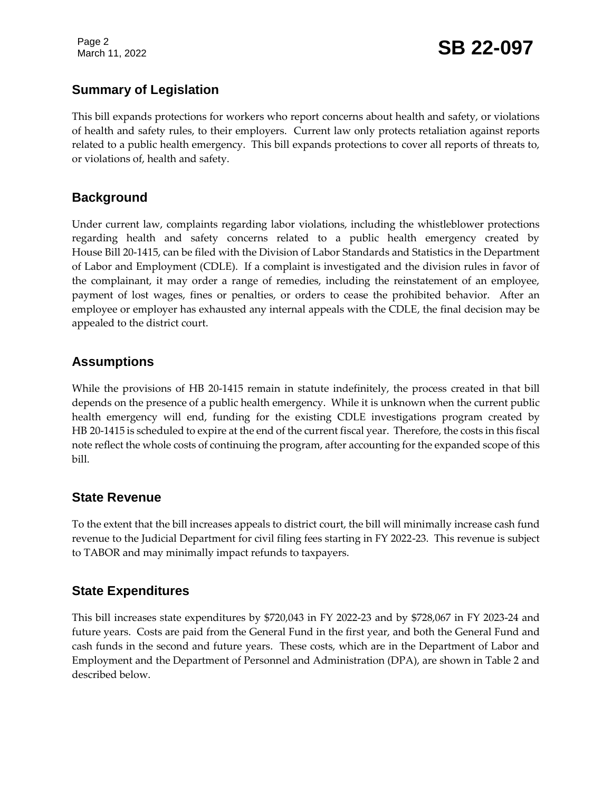Page 2

### **Summary of Legislation**

This bill expands protections for workers who report concerns about health and safety, or violations of health and safety rules, to their employers. Current law only protects retaliation against reports related to a public health emergency. This bill expands protections to cover all reports of threats to, or violations of, health and safety.

### **Background**

Under current law, complaints regarding labor violations, including the whistleblower protections regarding health and safety concerns related to a public health emergency created by House Bill 20-1415, can be filed with the Division of Labor Standards and Statistics in the Department of Labor and Employment (CDLE). If a complaint is investigated and the division rules in favor of the complainant, it may order a range of remedies, including the reinstatement of an employee, payment of lost wages, fines or penalties, or orders to cease the prohibited behavior. After an employee or employer has exhausted any internal appeals with the CDLE, the final decision may be appealed to the district court.

### **Assumptions**

While the provisions of HB 20-1415 remain in statute indefinitely, the process created in that bill depends on the presence of a public health emergency. While it is unknown when the current public health emergency will end, funding for the existing CDLE investigations program created by HB 20-1415 is scheduled to expire at the end of the current fiscal year. Therefore, the costs in this fiscal note reflect the whole costs of continuing the program, after accounting for the expanded scope of this bill.

### **State Revenue**

To the extent that the bill increases appeals to district court, the bill will minimally increase cash fund revenue to the Judicial Department for civil filing fees starting in FY 2022-23. This revenue is subject to TABOR and may minimally impact refunds to taxpayers.

### **State Expenditures**

This bill increases state expenditures by \$720,043 in FY 2022-23 and by \$728,067 in FY 2023-24 and future years. Costs are paid from the General Fund in the first year, and both the General Fund and cash funds in the second and future years. These costs, which are in the Department of Labor and Employment and the Department of Personnel and Administration (DPA), are shown in Table 2 and described below.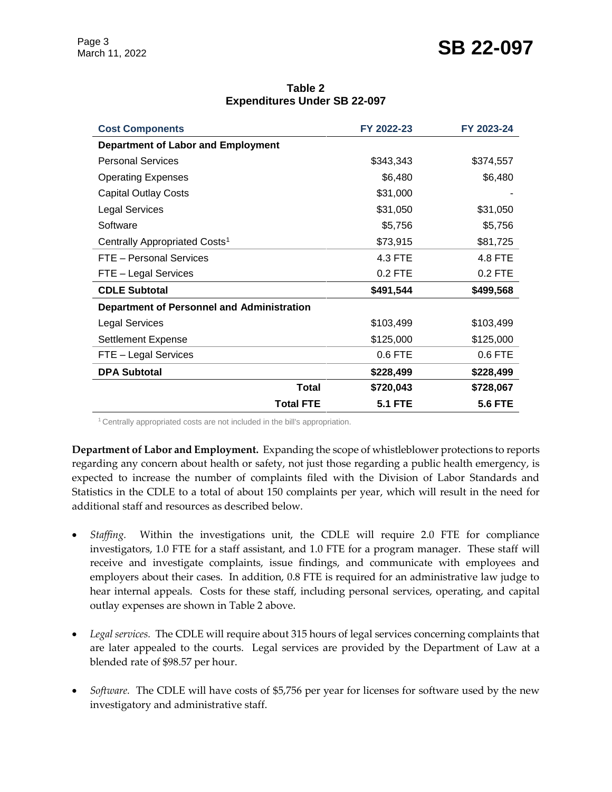# Page 3<br>March 11, 2022 **SB 22-097**

| <b>Cost Components</b>                            | FY 2022-23     | FY 2023-24     |
|---------------------------------------------------|----------------|----------------|
| Department of Labor and Employment                |                |                |
| <b>Personal Services</b>                          | \$343,343      | \$374,557      |
| <b>Operating Expenses</b>                         | \$6,480        | \$6,480        |
| <b>Capital Outlay Costs</b>                       | \$31,000       |                |
| <b>Legal Services</b>                             | \$31,050       | \$31,050       |
| Software                                          | \$5,756        | \$5,756        |
| Centrally Appropriated Costs <sup>1</sup>         | \$73,915       | \$81,725       |
| FTE - Personal Services                           | 4.3 FTE        | 4.8 FTE        |
| FTE - Legal Services                              | 0.2 FTE        | $0.2$ FTE      |
| <b>CDLE Subtotal</b>                              | \$491,544      | \$499,568      |
| <b>Department of Personnel and Administration</b> |                |                |
| <b>Legal Services</b>                             | \$103,499      | \$103,499      |
| <b>Settlement Expense</b>                         | \$125,000      | \$125,000      |
| FTE - Legal Services                              | 0.6 FTE        | $0.6$ FTE      |
| <b>DPA Subtotal</b>                               | \$228,499      | \$228,499      |
| <b>Total</b>                                      | \$720,043      | \$728,067      |
| <b>Total FTE</b>                                  | <b>5.1 FTE</b> | <b>5.6 FTE</b> |

**Table 2 Expenditures Under SB 22-097**

<sup>1</sup> Centrally appropriated costs are not included in the bill's appropriation.

**Department of Labor and Employment.** Expanding the scope of whistleblower protections to reports regarding any concern about health or safety, not just those regarding a public health emergency, is expected to increase the number of complaints filed with the Division of Labor Standards and Statistics in the CDLE to a total of about 150 complaints per year, which will result in the need for additional staff and resources as described below.

- *Staffing.* Within the investigations unit, the CDLE will require 2.0 FTE for compliance investigators, 1.0 FTE for a staff assistant, and 1.0 FTE for a program manager. These staff will receive and investigate complaints, issue findings, and communicate with employees and employers about their cases. In addition, 0.8 FTE is required for an administrative law judge to hear internal appeals. Costs for these staff, including personal services, operating, and capital outlay expenses are shown in Table 2 above.
- *Legal services.* The CDLE will require about 315 hours of legal services concerning complaints that are later appealed to the courts. Legal services are provided by the Department of Law at a blended rate of \$98.57 per hour.
- *Software.* The CDLE will have costs of \$5,756 per year for licenses for software used by the new investigatory and administrative staff.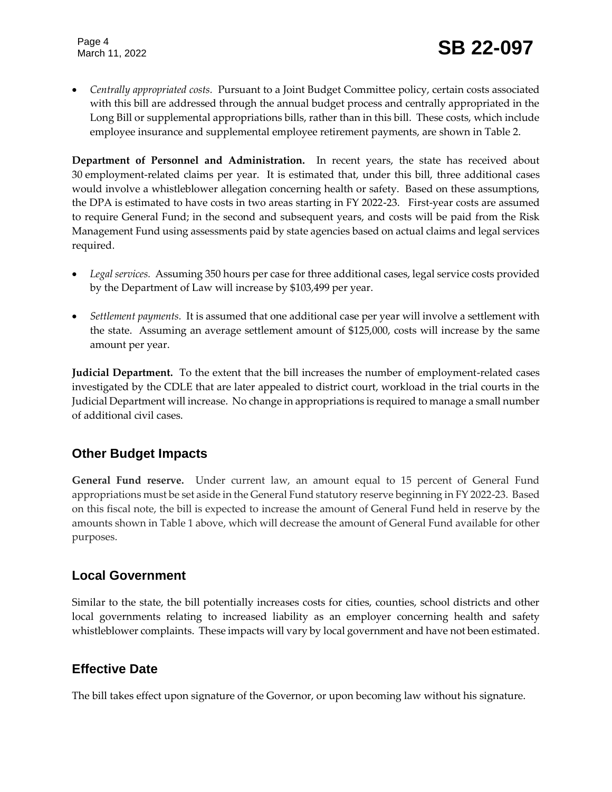*Centrally appropriated costs.* Pursuant to a Joint Budget Committee policy, certain costs associated with this bill are addressed through the annual budget process and centrally appropriated in the Long Bill or supplemental appropriations bills, rather than in this bill. These costs, which include employee insurance and supplemental employee retirement payments, are shown in Table 2.

**Department of Personnel and Administration.** In recent years, the state has received about 30 employment-related claims per year. It is estimated that, under this bill, three additional cases would involve a whistleblower allegation concerning health or safety. Based on these assumptions, the DPA is estimated to have costs in two areas starting in FY 2022-23. First-year costs are assumed to require General Fund; in the second and subsequent years, and costs will be paid from the Risk Management Fund using assessments paid by state agencies based on actual claims and legal services required.

- *Legal services.* Assuming 350 hours per case for three additional cases, legal service costs provided by the Department of Law will increase by \$103,499 per year.
- *Settlement payments.* It is assumed that one additional case per year will involve a settlement with the state. Assuming an average settlement amount of \$125,000, costs will increase by the same amount per year.

**Judicial Department.** To the extent that the bill increases the number of employment-related cases investigated by the CDLE that are later appealed to district court, workload in the trial courts in the Judicial Department will increase. No change in appropriations is required to manage a small number of additional civil cases.

## **Other Budget Impacts**

**General Fund reserve.** Under current law, an amount equal to 15 percent of General Fund appropriations must be set aside in the General Fund statutory reserve beginning in FY 2022-23. Based on this fiscal note, the bill is expected to increase the amount of General Fund held in reserve by the amounts shown in Table 1 above, which will decrease the amount of General Fund available for other purposes.

### **Local Government**

Similar to the state, the bill potentially increases costs for cities, counties, school districts and other local governments relating to increased liability as an employer concerning health and safety whistleblower complaints. These impacts will vary by local government and have not been estimated.

## **Effective Date**

The bill takes effect upon signature of the Governor, or upon becoming law without his signature.